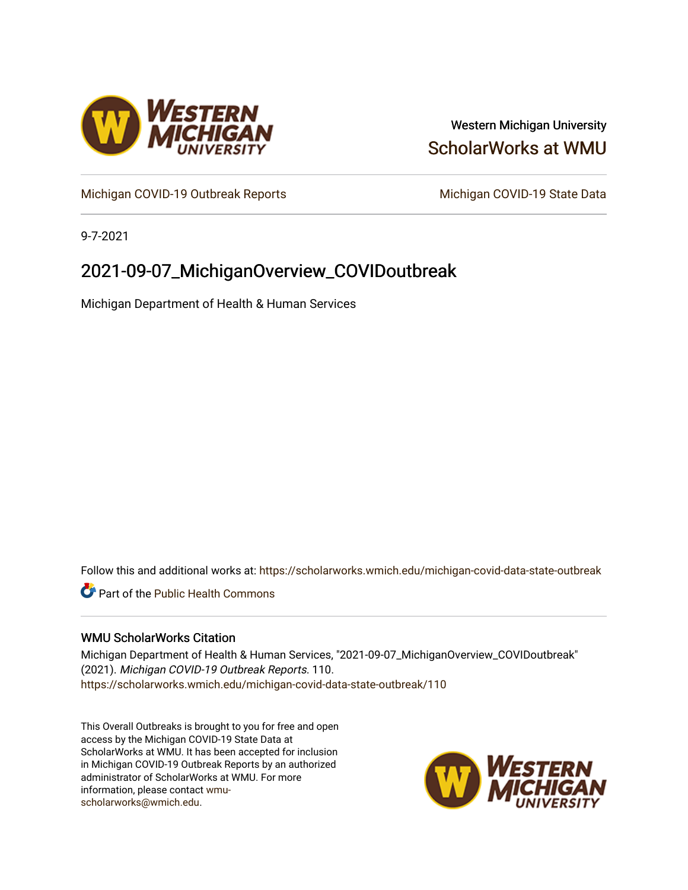

## Western Michigan University [ScholarWorks at WMU](https://scholarworks.wmich.edu/)

[Michigan COVID-19 Outbreak Reports](https://scholarworks.wmich.edu/michigan-covid-data-state-outbreak) Michigan COVID-19 State Data

9-7-2021

# 2021-09-07\_MichiganOverview\_COVIDoutbreak

Michigan Department of Health & Human Services

Follow this and additional works at: [https://scholarworks.wmich.edu/michigan-covid-data-state-outbreak](https://scholarworks.wmich.edu/michigan-covid-data-state-outbreak?utm_source=scholarworks.wmich.edu%2Fmichigan-covid-data-state-outbreak%2F110&utm_medium=PDF&utm_campaign=PDFCoverPages)

**C** Part of the Public Health Commons

### WMU ScholarWorks Citation

Michigan Department of Health & Human Services, "2021-09-07\_MichiganOverview\_COVIDoutbreak" (2021). Michigan COVID-19 Outbreak Reports. 110. [https://scholarworks.wmich.edu/michigan-covid-data-state-outbreak/110](https://scholarworks.wmich.edu/michigan-covid-data-state-outbreak/110?utm_source=scholarworks.wmich.edu%2Fmichigan-covid-data-state-outbreak%2F110&utm_medium=PDF&utm_campaign=PDFCoverPages) 

This Overall Outbreaks is brought to you for free and open access by the Michigan COVID-19 State Data at ScholarWorks at WMU. It has been accepted for inclusion in Michigan COVID-19 Outbreak Reports by an authorized administrator of ScholarWorks at WMU. For more information, please contact [wmu](mailto:wmu-scholarworks@wmich.edu)[scholarworks@wmich.edu.](mailto:wmu-scholarworks@wmich.edu)

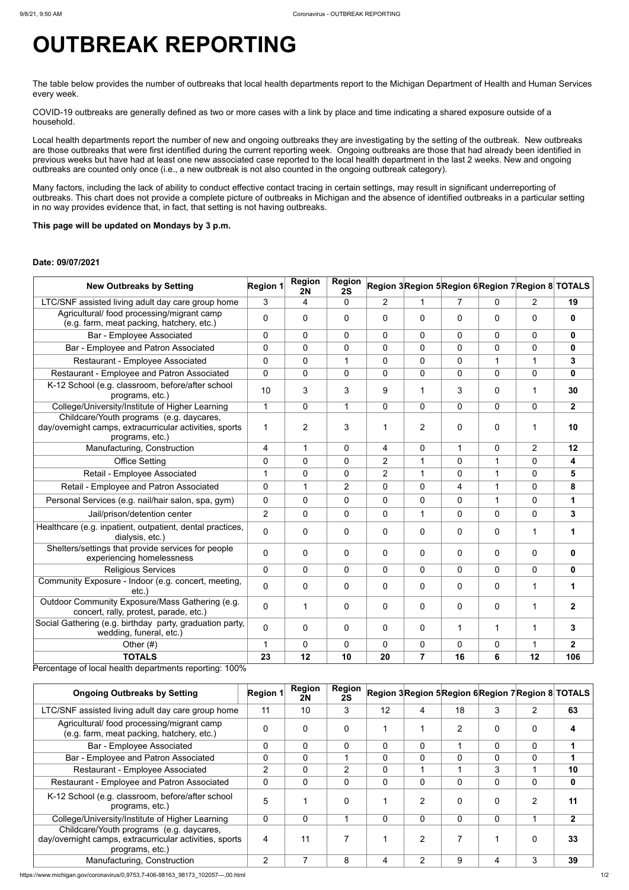https://www.michigan.gov/coronavirus/0,9753,7-406-98163\_98173\_102057---,00.html 1/2

# **OUTBREAK REPORTING**

The table below provides the number of outbreaks that local health departments report to the Michigan Department of Health and Human Services every week.

COVID-19 outbreaks are generally defined as two or more cases with a link by place and time indicating a shared exposure outside of a household.

Local health departments report the number of new and ongoing outbreaks they are investigating by the setting of the outbreak. New outbreaks are those outbreaks that were first identified during the current reporting week. Ongoing outbreaks are those that had already been identified in previous weeks but have had at least one new associated case reported to the local health department in the last 2 weeks. New and ongoing outbreaks are counted only once (i.e., a new outbreak is not also counted in the ongoing outbreak category).

Many factors, including the lack of ability to conduct effective contact tracing in certain settings, may result in significant underreporting of outbreaks. This chart does not provide a complete picture of outbreaks in Michigan and the absence of identified outbreaks in a particular setting in no way provides evidence that, in fact, that setting is not having outbreaks.

#### **This page will be updated on Mondays by 3 p.m.**

#### **Date: 09/07/2021**

| <b>New Outbreaks by Setting</b>                                                                                        | <b>Region 1</b> | <b>Region</b><br><b>2N</b> | <b>Region</b><br>2S |                |                |                | Region 3Region 5Region 6Region 7Region 8 TOTALS |                |              |
|------------------------------------------------------------------------------------------------------------------------|-----------------|----------------------------|---------------------|----------------|----------------|----------------|-------------------------------------------------|----------------|--------------|
| LTC/SNF assisted living adult day care group home                                                                      | 3               | 4                          | $\mathbf 0$         | $\overline{2}$ | 1              | $\overline{7}$ | $\mathbf 0$                                     | $\overline{2}$ | 19           |
| Agricultural/ food processing/migrant camp<br>(e.g. farm, meat packing, hatchery, etc.)                                | $\overline{0}$  | $\mathbf{0}$               | $\mathbf 0$         | $\mathbf 0$    | $\mathbf{0}$   | $\mathbf 0$    | $\mathbf{0}$                                    | $\mathbf 0$    | 0            |
| <b>Bar - Employee Associated</b>                                                                                       | 0               | $\mathbf 0$                | $\mathbf{0}$        | $\mathbf 0$    | $\mathbf 0$    | $\overline{0}$ | $\Omega$                                        | $\overline{0}$ | $\mathbf 0$  |
| Bar - Employee and Patron Associated                                                                                   | 0               | 0                          | $\mathbf{0}$        | $\mathbf 0$    | $\mathbf 0$    | $\mathbf 0$    | $\mathbf{0}$                                    | $\overline{0}$ | $\mathbf 0$  |
| <b>Restaurant - Employee Associated</b>                                                                                | $\overline{0}$  | $\mathbf 0$                |                     | $\mathbf 0$    | $\overline{0}$ | $\mathbf 0$    | 1                                               | 1              | 3            |
| Restaurant - Employee and Patron Associated                                                                            | 0               | $\mathbf{0}$               | $\Omega$            | 0              | $\overline{0}$ | $\Omega$       | $\Omega$                                        | $\Omega$       | 0            |
| K-12 School (e.g. classroom, before/after school<br>programs, etc.)                                                    | 10              | 3                          | 3                   | 9              | 1              | 3              | $\mathbf{0}$                                    | 1              | 30           |
| College/University/Institute of Higher Learning                                                                        | 1               | $\mathbf 0$                | 1                   | $\mathbf 0$    | $\overline{0}$ | $\overline{0}$ | $\overline{0}$                                  | $\overline{0}$ | $\mathbf{2}$ |
| Childcare/Youth programs (e.g. daycares,<br>day/overnight camps, extracurricular activities, sports<br>programs, etc.) | 1               | $\overline{2}$             | 3                   |                | $\overline{2}$ | $\mathbf 0$    | $\mathbf 0$                                     |                | 10           |
| Manufacturing, Construction                                                                                            | 4               | 1                          | $\mathbf{0}$        | 4              | $\mathbf 0$    | 1              | $\mathbf 0$                                     | 2              | 12           |
| <b>Office Setting</b>                                                                                                  | 0               | $\mathbf 0$                | $\Omega$            | $\overline{2}$ | 1              | $\mathbf 0$    | 1                                               | $\mathbf 0$    | 4            |
| Retail - Employee Associated                                                                                           | 1               | 0                          | $\mathbf 0$         | $\overline{2}$ | $\mathbf{1}$   | $\overline{0}$ | $\mathbf 1$                                     | $\Omega$       | 5            |
| Retail - Employee and Patron Associated                                                                                | 0               | 1                          | $\overline{2}$      | $\mathbf{0}$   | $\mathbf 0$    | 4              | 1                                               | $\overline{0}$ | 8            |
| Personal Services (e.g. nail/hair salon, spa, gym)                                                                     | 0               | $\mathbf 0$                | $\overline{0}$      | $\mathbf 0$    | $\mathbf 0$    | $\mathbf 0$    | $\mathbf 1$                                     | $\overline{0}$ | 1            |
| Jail/prison/detention center                                                                                           | $\overline{2}$  | $\mathbf 0$                | $\overline{0}$      | $\mathbf 0$    | $\mathbf 1$    | $\mathbf 0$    | $\Omega$                                        | $\overline{0}$ | 3            |
| Healthcare (e.g. inpatient, outpatient, dental practices,<br>dialysis, etc.)                                           | $\overline{0}$  | $\mathbf 0$                | $\mathbf{0}$        | $\mathbf 0$    | $\overline{0}$ | $\mathbf{0}$   | $\Omega$                                        | 1              |              |
| Shelters/settings that provide services for people<br>experiencing homelessness                                        | 0               | $\mathbf 0$                | $\mathbf 0$         | $\overline{0}$ | $\mathbf 0$    | $\mathbf 0$    | $\mathbf 0$                                     | $\mathbf 0$    | 0            |
| <b>Religious Services</b>                                                                                              | $\overline{0}$  | $\mathbf 0$                | $\mathbf{0}$        | $\mathbf 0$    | $\overline{0}$ | $\mathbf 0$    | $\mathbf 0$                                     | $\overline{0}$ | 0            |
| Community Exposure - Indoor (e.g. concert, meeting,<br>etc.                                                            | $\Omega$        | $\mathbf 0$                | $\mathbf{0}$        | $\mathbf 0$    | $\mathbf 0$    | $\mathbf 0$    | $\mathbf 0$                                     | 1              |              |
| Outdoor Community Exposure/Mass Gathering (e.g.<br>concert, rally, protest, parade, etc.)                              | 0               |                            | $\mathbf 0$         | $\mathbf 0$    | 0              | $\mathbf 0$    | $\mathbf 0$                                     | 1              | $\mathbf{2}$ |
| Social Gathering (e.g. birthday party, graduation party,<br>wedding, funeral, etc.)                                    | $\overline{0}$  | $\overline{0}$             | $\mathbf 0$         | $\mathbf 0$    | $\mathbf 0$    |                | 1                                               | 1              | 3            |
| Other $(#)$                                                                                                            | 1               | $\mathbf 0$                | $\overline{0}$      | $\mathbf{0}$   | $\overline{0}$ | $\mathbf 0$    | $\overline{0}$                                  | 1              | $\mathbf{2}$ |
| <b>TOTALS</b>                                                                                                          | 23              | 12                         | 10                  | 20             | $\overline{7}$ | 16             | 6                                               | 12             | 106          |
| Percentage of local health departments reporting: 100%                                                                 |                 |                            |                     |                |                |                |                                                 |                |              |

| <b>Ongoing Outbreaks by Setting</b>                                                                                    | <b>Region 1</b> | <b>Region</b><br>2N | <b>Region</b><br>2S |    |   |          |                | Region 3 Region 5 Region 6 Region 7 Region 8 TOTALS |             |
|------------------------------------------------------------------------------------------------------------------------|-----------------|---------------------|---------------------|----|---|----------|----------------|-----------------------------------------------------|-------------|
| LTC/SNF assisted living adult day care group home                                                                      | 11              | 10                  | 3                   | 12 | 4 | 18       | 3              | 2                                                   | 63          |
| Agricultural/food processing/migrant camp<br>(e.g. farm, meat packing, hatchery, etc.)                                 | $\Omega$        | 0                   |                     |    |   | 2        | $\Omega$       | $\Omega$                                            |             |
| <b>Bar - Employee Associated</b>                                                                                       | $\overline{0}$  | 0                   | $\Omega$            | 0  | 0 |          | $\Omega$       | $\Omega$                                            |             |
| Bar - Employee and Patron Associated                                                                                   | 0               | 0                   |                     | 0  | 0 |          | 0              | 0                                                   |             |
| Restaurant - Employee Associated                                                                                       | $\overline{2}$  | 0                   | $\overline{2}$      | 0  |   |          | 3              |                                                     | 10          |
| Restaurant - Employee and Patron Associated                                                                            | $\overline{0}$  | $\overline{0}$      | $\Omega$            | 0  | 0 |          | 0              | 0                                                   | 0           |
| K-12 School (e.g. classroom, before/after school<br>programs, etc.)                                                    | 5               |                     |                     |    | 2 |          | $\Omega$       | 2                                                   | 11          |
| College/University/Institute of Higher Learning                                                                        | $\overline{0}$  | $\overline{0}$      |                     | 0  | 0 | $\Omega$ | $\overline{0}$ |                                                     | $\mathbf 2$ |
| Childcare/Youth programs (e.g. daycares,<br>day/overnight camps, extracurricular activities, sports<br>programs, etc.) | 4               | 11                  |                     |    | 2 |          |                |                                                     | 33          |
| Manufacturing, Construction                                                                                            | $\overline{2}$  |                     | 8                   | 4  | 2 | 9        | 4              | 3                                                   | 39          |